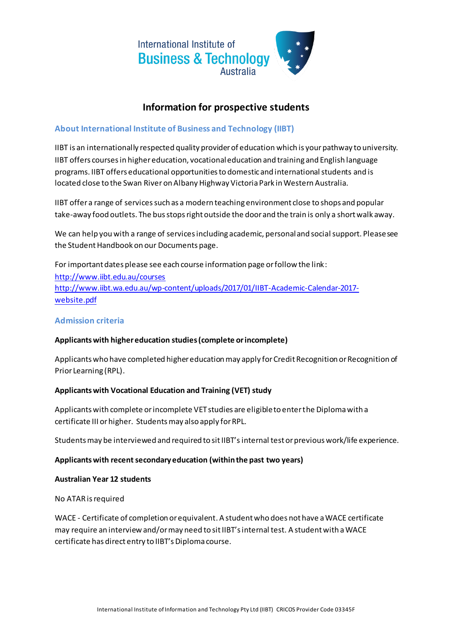

# **Information for prospective students**

# **About International Institute of Business and Technology (IIBT)**

IIBT is an internationally respected quality provider of education which is your pathway to university. IIBT offers courses in higher education, vocational education and training and English language programs. IIBT offers educational opportunities to domestic and international students and is located close to the Swan River on Albany Highway Victoria Park in Western Australia.

IIBT offer a range of services such as a modern teaching environment close to shops and popular take-away food outlets. The bus stops right outside the door and the train is only a short walk away.

We can help you with a range of services including academic, personal and social support. Please see the Student Handbook on our Documents page.

For important dates please see each course information page or follow the link: <http://www.iibt.edu.au/courses> [http://www.iibt.wa.edu.au/wp-content/uploads/2017/01/IIBT-Academic-Calendar-2017](http://www.iibt.wa.edu.au/wp-content/uploads/2017/01/IIBT-Academic-Calendar-2017-website.pdf) [website.pdf](http://www.iibt.wa.edu.au/wp-content/uploads/2017/01/IIBT-Academic-Calendar-2017-website.pdf)

# **Admission criteria**

# **Applicants with higher education studies (complete or incomplete)**

Applicants who have completed higher education may apply for Credit Recognition or Recognition of Prior Learning (RPL).

# **Applicants with Vocational Education and Training (VET) study**

Applicants with complete or incomplete VET studies are eligible to enter the Diploma with a certificate III or higher. Students may also apply for RPL.

Students may be interviewed and required to sit IIBT'sinternal test or previous work/life experience.

#### **Applicants with recent secondary education (within the past two years)**

#### **Australian Year 12 students**

No ATARis required

WACE - Certificate of completion or equivalent. A student who does not have a WACE certificate may require an interview and/or may need to sit IIBT's internal test. A student with a WACE certificate has direct entry to IIBT's Diploma course.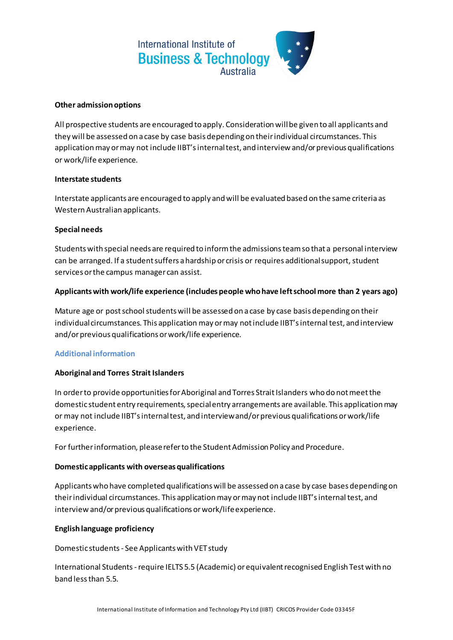

### **Other admission options**

All prospective students are encouraged to apply. Consideration will be given to all applicants and they will be assessed on a case by case basis depending on their individual circumstances. This application may or may not include IIBT's internal test, and interview and/or previous qualifications or work/life experience.

### **Interstate students**

Interstate applicants are encouraged to apply and will be evaluated based on the same criteria as Western Australian applicants.

### **Special needs**

Students with special needs are required to inform the admissions team so that a personal interview can be arranged. If a student suffers a hardship or crisis or requires additional support, student services or the campus manager can assist.

# **Applicants with work/life experience (includes people who have left school more than 2 years ago)**

Mature age or post school students will be assessed on a case by case basis depending on their individual circumstances. This application may or may not include IIBT's internal test, and interview and/or previous qualifications or work/life experience.

# **Additional information**

# **Aboriginal and Torres Strait Islanders**

In order to provide opportunities for Aboriginal and Torres Strait Islanders who do not meet the domestic student entry requirements, special entry arrangements are available. This application may or may not include IIBT's internal test, and interview and/or previous qualifications or work/life experience.

For further information, please refer to the Student Admission Policy and Procedure.

# **Domestic applicants with overseas qualifications**

Applicants who have completed qualifications will be assessed on a case by case bases depending on their individual circumstances. This applicationmay or may not include IIBT's internal test, and interview and/or previous qualifications or work/life experience.

# **English language proficiency**

Domestic students - See Applicants with VET study

International Students -require IELTS 5.5 (Academic) or equivalent recognised English Test with no band less than 5.5.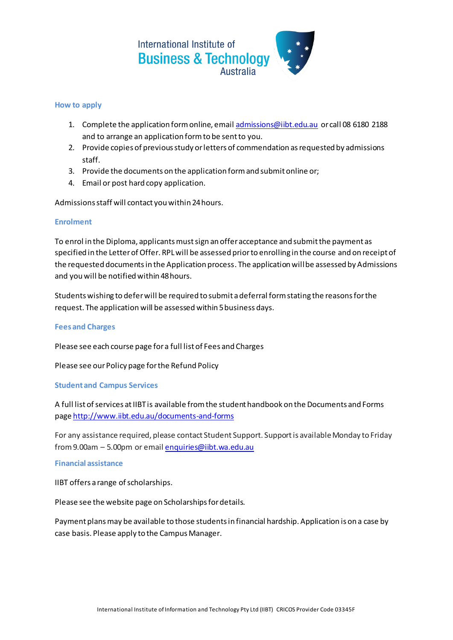

#### **How to apply**

- 1. Complete the application form online, emai[l admissions@iibt.edu.au](mailto:admissions@iibt.edu.au) or call 08 6180 2188 and to arrange an application form to be sent to you.
- 2. Provide copies of previous study or letters of commendation as requested by admissions staff.
- 3. Provide the documents on the application form and submit online or;
- 4. Email or post hard copy application.

Admissions staff will contact you within 24 hours.

#### **Enrolment**

To enrol in the Diploma, applicants must sign an offer acceptance and submit the payment as specified in the Letter of Offer. RPL will be assessed prior to enrolling in the course and on receipt of the requested documents in the Application process. The application will be assessed by Admissions and you will be notified within 48 hours.

Students wishing to defer will be required to submit a deferral form stating the reasons for the request. The application will be assessed within 5 business days.

#### **Fees and Charges**

Please see each course page for a full list of Fees and Charges

Please see our Policy page for the Refund Policy

#### **Student and Campus Services**

A full list of services at IIBT is available from the student handbook on the Documents and Forms page <http://www.iibt.edu.au/documents-and-forms>

For any assistance required, please contact Student Support. Support is availableMonday to Friday from 9.00am – 5.00pm or emai[l enquiries@iibt.wa.edu.au](mailto:enquiries@iibt.wa.edu.au)

#### **Financial assistance**

IIBT offers a range of scholarships.

Please see the website page on Scholarships for details.

Payment plans may be available to those students in financial hardship. Application is on a case by case basis. Please apply to the Campus Manager.